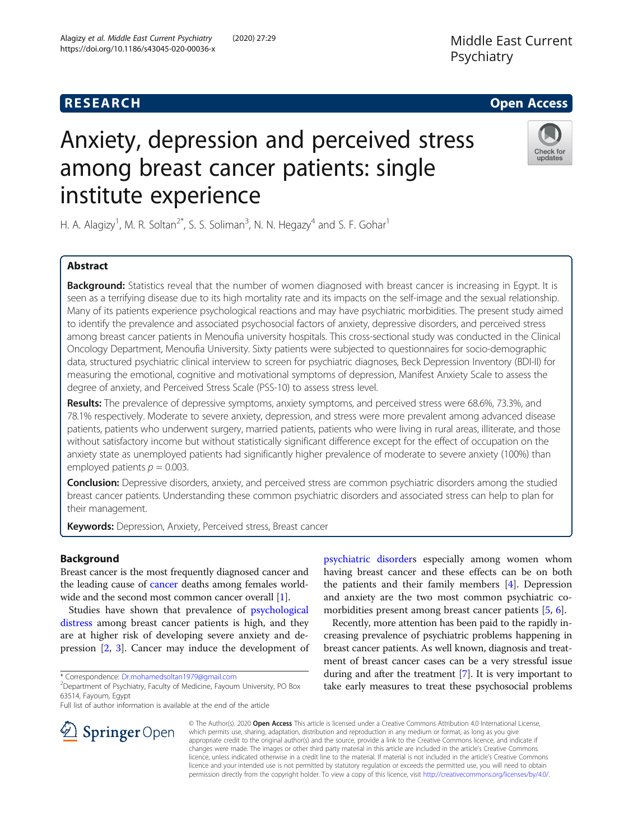# Anxiety, depression and perceived stress among breast cancer patients: single institute experience

H. A. Alagizy<sup>1</sup>, M. R. Soltan<sup>2\*</sup>, S. S. Soliman<sup>3</sup>, N. N. Hegazy<sup>4</sup> and S. F. Gohar<sup>1</sup>

# Abstract

Background: Statistics reveal that the number of women diagnosed with breast cancer is increasing in Egypt. It is seen as a terrifying disease due to its high mortality rate and its impacts on the self-image and the sexual relationship. Many of its patients experience psychological reactions and may have psychiatric morbidities. The present study aimed to identify the prevalence and associated psychosocial factors of anxiety, depressive disorders, and perceived stress among breast cancer patients in Menoufia university hospitals. This cross-sectional study was conducted in the Clinical Oncology Department, Menoufia University. Sixty patients were subjected to questionnaires for socio-demographic data, structured psychiatric clinical interview to screen for psychiatric diagnoses, Beck Depression Inventory (BDI-II) for measuring the emotional, cognitive and motivational symptoms of depression, Manifest Anxiety Scale to assess the degree of anxiety, and Perceived Stress Scale (PSS-10) to assess stress level.

Results: The prevalence of depressive symptoms, anxiety symptoms, and perceived stress were 68.6%, 73.3%, and 78.1% respectively. Moderate to severe anxiety, depression, and stress were more prevalent among advanced disease patients, patients who underwent surgery, married patients, patients who were living in rural areas, illiterate, and those without satisfactory income but without statistically significant difference except for the effect of occupation on the anxiety state as unemployed patients had significantly higher prevalence of moderate to severe anxiety (100%) than employed patients  $p = 0.003$ .

**Conclusion:** Depressive disorders, anxiety, and perceived stress are common psychiatric disorders among the studied breast cancer patients. Understanding these common psychiatric disorders and associated stress can help to plan for their management.

Keywords: Depression, Anxiety, Perceived stress, Breast cancer

# Background

Breast cancer is the most frequently diagnosed cancer and the leading cause of [cancer](http://www.acanceresearch.com/) deaths among females worldwide and the second most common cancer overall [\[1](#page-8-0)].

Studies have shown that prevalence of [psychological](http://www.imedpub.com/scholarly/psychotherapy-journals-articles-ppts-list.php) [distress](http://www.imedpub.com/scholarly/psychotherapy-journals-articles-ppts-list.php) among breast cancer patients is high, and they are at higher risk of developing severe anxiety and depression [[2,](#page-8-0) [3\]](#page-8-0). Cancer may induce the development of

\* Correspondence: [Dr.mohamedsoltan1979@gmail.com](mailto:Dr.mohamedsoltan1979@gmail.com) <sup>2</sup>

Department of Psychiatry, Faculty of Medicine, Fayoum University, PO Box 63514, Fayoum, Egypt

Full list of author information is available at the end of the article

[psychiatric disorder](http://www.imedpub.com/scholarly/psychiatry-disorders-journals-articles-ppts-list.php)s especially among women whom having breast cancer and these effects can be on both the patients and their family members [\[4](#page-8-0)]. Depression and anxiety are the two most common psychiatric co-morbidities present among breast cancer patients [\[5](#page-8-0), [6\]](#page-8-0).

Recently, more attention has been paid to the rapidly increasing prevalence of psychiatric problems happening in breast cancer patients. As well known, diagnosis and treatment of breast cancer cases can be a very stressful issue during and after the treatment [\[7\]](#page-8-0). It is very important to take early measures to treat these psychosocial problems



© The Author(s). 2020 Open Access This article is licensed under a Creative Commons Attribution 4.0 International License, which permits use, sharing, adaptation, distribution and reproduction in any medium or format, as long as you give appropriate credit to the original author(s) and the source, provide a link to the Creative Commons licence, and indicate if changes were made. The images or other third party material in this article are included in the article's Creative Commons licence, unless indicated otherwise in a credit line to the material. If material is not included in the article's Creative Commons licence and your intended use is not permitted by statutory regulation or exceeds the permitted use, you will need to obtain permission directly from the copyright holder. To view a copy of this licence, visit <http://creativecommons.org/licenses/by/4.0/>.

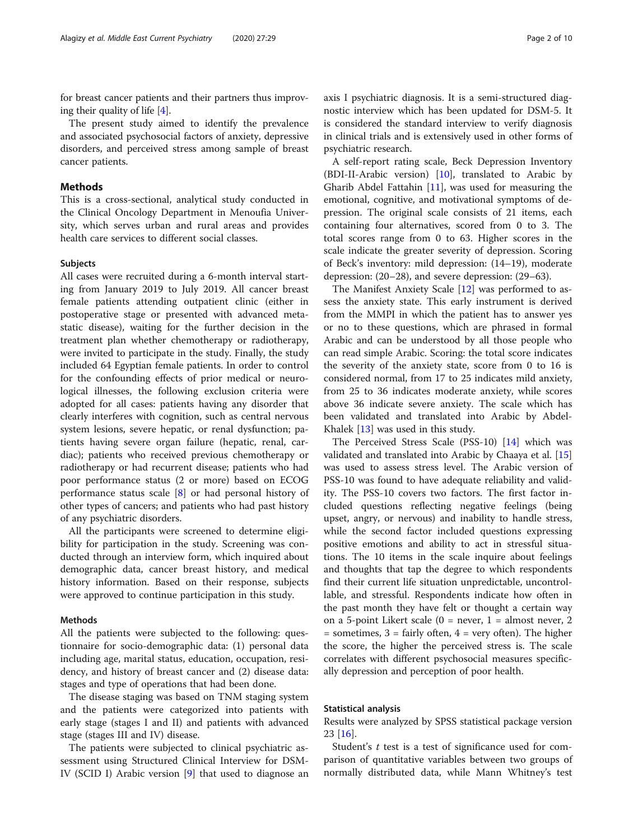for breast cancer patients and their partners thus improving their quality of life [[4\]](#page-8-0).

The present study aimed to identify the prevalence and associated psychosocial factors of anxiety, depressive disorders, and perceived stress among sample of breast cancer patients.

#### Methods

This is a cross-sectional, analytical study conducted in the Clinical Oncology Department in Menoufia University, which serves urban and rural areas and provides health care services to different social classes.

#### **Subjects**

All cases were recruited during a 6-month interval starting from January 2019 to July 2019. All cancer breast female patients attending outpatient clinic (either in postoperative stage or presented with advanced metastatic disease), waiting for the further decision in the treatment plan whether chemotherapy or radiotherapy, were invited to participate in the study. Finally, the study included 64 Egyptian female patients. In order to control for the confounding effects of prior medical or neurological illnesses, the following exclusion criteria were adopted for all cases: patients having any disorder that clearly interferes with cognition, such as central nervous system lesions, severe hepatic, or renal dysfunction; patients having severe organ failure (hepatic, renal, cardiac); patients who received previous chemotherapy or radiotherapy or had recurrent disease; patients who had poor performance status (2 or more) based on ECOG performance status scale [\[8](#page-8-0)] or had personal history of other types of cancers; and patients who had past history of any psychiatric disorders.

All the participants were screened to determine eligibility for participation in the study. Screening was conducted through an interview form, which inquired about demographic data, cancer breast history, and medical history information. Based on their response, subjects were approved to continue participation in this study.

#### Methods

All the patients were subjected to the following: questionnaire for socio-demographic data: (1) personal data including age, marital status, education, occupation, residency, and history of breast cancer and (2) disease data: stages and type of operations that had been done.

The disease staging was based on TNM staging system and the patients were categorized into patients with early stage (stages I and II) and patients with advanced stage (stages III and IV) disease.

The patients were subjected to clinical psychiatric assessment using Structured Clinical Interview for DSM-IV (SCID I) Arabic version [\[9\]](#page-8-0) that used to diagnose an axis I psychiatric diagnosis. It is a semi-structured diagnostic interview which has been updated for DSM-5. It is considered the standard interview to verify diagnosis in clinical trials and is extensively used in other forms of psychiatric research.

A self-report rating scale, Beck Depression Inventory (BDI-II-Arabic version) [\[10](#page-8-0)], translated to Arabic by Gharib Abdel Fattahin [[11\]](#page-8-0), was used for measuring the emotional, cognitive, and motivational symptoms of depression. The original scale consists of 21 items, each containing four alternatives, scored from 0 to 3. The total scores range from 0 to 63. Higher scores in the scale indicate the greater severity of depression. Scoring of Beck's inventory: mild depression: (14–19), moderate depression: (20–28), and severe depression: (29–63).

The Manifest Anxiety Scale [\[12\]](#page-8-0) was performed to assess the anxiety state. This early instrument is derived from the MMPI in which the patient has to answer yes or no to these questions, which are phrased in formal Arabic and can be understood by all those people who can read simple Arabic. Scoring: the total score indicates the severity of the anxiety state, score from 0 to 16 is considered normal, from 17 to 25 indicates mild anxiety, from 25 to 36 indicates moderate anxiety, while scores above 36 indicate severe anxiety. The scale which has been validated and translated into Arabic by Abdel-Khalek [[13\]](#page-8-0) was used in this study.

The Perceived Stress Scale (PSS-10) [\[14\]](#page-8-0) which was validated and translated into Arabic by Chaaya et al. [[15](#page-8-0)] was used to assess stress level. The Arabic version of PSS-10 was found to have adequate reliability and validity. The PSS-10 covers two factors. The first factor included questions reflecting negative feelings (being upset, angry, or nervous) and inability to handle stress, while the second factor included questions expressing positive emotions and ability to act in stressful situations. The 10 items in the scale inquire about feelings and thoughts that tap the degree to which respondents find their current life situation unpredictable, uncontrollable, and stressful. Respondents indicate how often in the past month they have felt or thought a certain way on a 5-point Likert scale  $(0 = never, 1 = almost never, 2)$  $=$  sometimes,  $3 =$  fairly often,  $4 =$  very often). The higher the score, the higher the perceived stress is. The scale correlates with different psychosocial measures specifically depression and perception of poor health.

### Statistical analysis

Results were analyzed by SPSS statistical package version 23 [[16](#page-8-0)].

Student's  $t$  test is a test of significance used for comparison of quantitative variables between two groups of normally distributed data, while Mann Whitney's test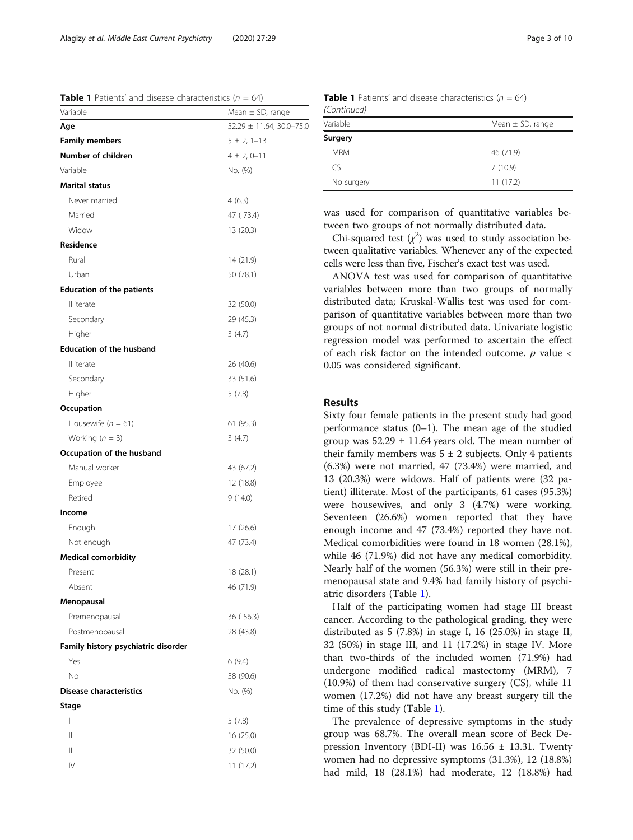**Table 1** Patients' and disease characteristics ( $n = 64$ )

| Variable                            | Mean $\pm$ SD, range     |
|-------------------------------------|--------------------------|
| Age                                 | 52.29 ± 11.64, 30.0-75.0 |
| <b>Family members</b>               | $5 \pm 2, 1 - 13$        |
| Number of children                  | $4 \pm 2, 0 - 11$        |
| Variable                            | No. (%)                  |
| <b>Marital status</b>               |                          |
| Never married                       | 4(6.3)                   |
| Married                             | 47 (73.4)                |
| Widow                               | 13 (20.3)                |
| Residence                           |                          |
| Rural                               | 14 (21.9)                |
| Urban                               | 50 (78.1)                |
| <b>Education of the patients</b>    |                          |
| Illiterate                          | 32 (50.0)                |
| Secondary                           | 29 (45.3)                |
| Higher                              | 3(4.7)                   |
| <b>Education of the husband</b>     |                          |
| Illiterate                          | 26 (40.6)                |
| Secondary                           | 33 (51.6)                |
| Higher                              | 5 (7.8)                  |
| Occupation                          |                          |
| Housewife ( $n = 61$ )              | 61 (95.3)                |
| Working $(n = 3)$                   | 3(4.7)                   |
| Occupation of the husband           |                          |
| Manual worker                       | 43 (67.2)                |
| Employee                            | 12 (18.8)                |
| Retired                             | 9 (14.0)                 |
| Income                              |                          |
| Enough                              | 17 (26.6)                |
| Not enough                          | 47 (73.4)                |
| <b>Medical comorbidity</b>          |                          |
| Present                             | 18 (28.1)                |
| Absent                              | 46 (71.9)                |
| Menopausal                          |                          |
| Premenopausal                       | 36 (56.3)                |
| Postmenopausal                      | 28 (43.8)                |
| Family history psychiatric disorder |                          |
| Yes                                 | 6(9.4)                   |
| No                                  | 58 (90.6)                |
| <b>Disease characteristics</b>      | No. (%)                  |
| Stage                               |                          |
| L                                   | 5(7.8)                   |
| Ш                                   | 16 (25.0)                |
| Ш                                   | 32 (50.0)                |
| IV                                  | 11 (17.2)                |
|                                     |                          |

| $1 - 1$    |                      |
|------------|----------------------|
| Variable   | Mean $\pm$ SD, range |
| Surgery    |                      |
| <b>MRM</b> | 46 (71.9)            |
| CS         | 7(10.9)              |
| No surgery | 11(17.2)             |

was used for comparison of quantitative variables between two groups of not normally distributed data.

Chi-squared test  $(\chi^2)$  was used to study association between qualitative variables. Whenever any of the expected cells were less than five, Fischer's exact test was used.

ANOVA test was used for comparison of quantitative variables between more than two groups of normally distributed data; Kruskal-Wallis test was used for comparison of quantitative variables between more than two groups of not normal distributed data. Univariate logistic regression model was performed to ascertain the effect of each risk factor on the intended outcome.  $p$  value  $\lt$ 0.05 was considered significant.

#### Results

Sixty four female patients in the present study had good performance status (0–1). The mean age of the studied group was  $52.29 \pm 11.64$  years old. The mean number of their family members was  $5 \pm 2$  subjects. Only 4 patients (6.3%) were not married, 47 (73.4%) were married, and 13 (20.3%) were widows. Half of patients were (32 patient) illiterate. Most of the participants, 61 cases (95.3%) were housewives, and only 3 (4.7%) were working. Seventeen (26.6%) women reported that they have enough income and 47 (73.4%) reported they have not. Medical comorbidities were found in 18 women (28.1%), while 46 (71.9%) did not have any medical comorbidity. Nearly half of the women (56.3%) were still in their premenopausal state and 9.4% had family history of psychiatric disorders (Table 1).

Half of the participating women had stage III breast cancer. According to the pathological grading, they were distributed as 5 (7.8%) in stage I, 16 (25.0%) in stage II, 32 (50%) in stage III, and 11 (17.2%) in stage IV. More than two-thirds of the included women (71.9%) had undergone modified radical mastectomy (MRM), 7 (10.9%) of them had conservative surgery (CS), while 11 women (17.2%) did not have any breast surgery till the time of this study (Table 1).

The prevalence of depressive symptoms in the study group was 68.7%. The overall mean score of Beck Depression Inventory (BDI-II) was  $16.56 \pm 13.31$ . Twenty women had no depressive symptoms (31.3%), 12 (18.8%) had mild, 18 (28.1%) had moderate, 12 (18.8%) had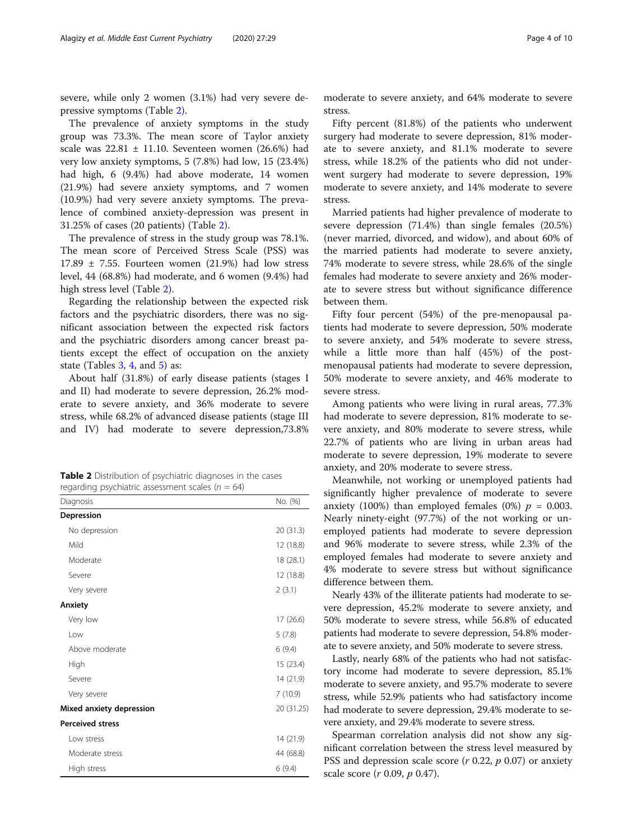severe, while only 2 women (3.1%) had very severe depressive symptoms (Table 2).

The prevalence of anxiety symptoms in the study group was 73.3%. The mean score of Taylor anxiety scale was  $22.81 \pm 11.10$ . Seventeen women (26.6%) had very low anxiety symptoms, 5 (7.8%) had low, 15 (23.4%) had high, 6 (9.4%) had above moderate, 14 women (21.9%) had severe anxiety symptoms, and 7 women (10.9%) had very severe anxiety symptoms. The prevalence of combined anxiety-depression was present in 31.25% of cases (20 patients) (Table 2).

The prevalence of stress in the study group was 78.1%. The mean score of Perceived Stress Scale (PSS) was  $17.89 \pm 7.55$ . Fourteen women (21.9%) had low stress level, 44 (68.8%) had moderate, and 6 women (9.4%) had high stress level (Table 2).

Regarding the relationship between the expected risk factors and the psychiatric disorders, there was no significant association between the expected risk factors and the psychiatric disorders among cancer breast patients except the effect of occupation on the anxiety state (Tables  $3, 4$  $3, 4$  $3, 4$ , and  $5$ ) as:

About half (31.8%) of early disease patients (stages I and II) had moderate to severe depression, 26.2% moderate to severe anxiety, and 36% moderate to severe stress, while 68.2% of advanced disease patients (stage III and IV) had moderate to severe depression,73.8%

Table 2 Distribution of psychiatric diagnoses in the cases regarding psychiatric assessment scales ( $n = 64$ )

| Diagnosis                | No. (%)    |
|--------------------------|------------|
| Depression               |            |
| No depression            | 20 (31.3)  |
| Mild                     | 12(18.8)   |
| Moderate                 | 18 (28.1)  |
| Severe                   | 12(18.8)   |
| Very severe              | 2(3.1)     |
| Anxiety                  |            |
| Very low                 | 17 (26.6)  |
| Low                      | 5(7.8)     |
| Above moderate           | 6(9.4)     |
| High                     | 15(23.4)   |
| Severe                   | 14 (21.9)  |
| Very severe              | 7(10.9)    |
| Mixed anxiety depression | 20 (31.25) |
| <b>Perceived stress</b>  |            |
| Low stress               | 14 (21.9)  |
| Moderate stress          | 44 (68.8)  |
| High stress              | 6(9.4)     |

moderate to severe anxiety, and 64% moderate to severe stress.

Fifty percent (81.8%) of the patients who underwent surgery had moderate to severe depression, 81% moderate to severe anxiety, and 81.1% moderate to severe stress, while 18.2% of the patients who did not underwent surgery had moderate to severe depression, 19% moderate to severe anxiety, and 14% moderate to severe stress.

Married patients had higher prevalence of moderate to severe depression (71.4%) than single females (20.5%) (never married, divorced, and widow), and about 60% of the married patients had moderate to severe anxiety, 74% moderate to severe stress, while 28.6% of the single females had moderate to severe anxiety and 26% moderate to severe stress but without significance difference between them.

Fifty four percent (54%) of the pre-menopausal patients had moderate to severe depression, 50% moderate to severe anxiety, and 54% moderate to severe stress, while a little more than half (45%) of the postmenopausal patients had moderate to severe depression, 50% moderate to severe anxiety, and 46% moderate to severe stress.

Among patients who were living in rural areas, 77.3% had moderate to severe depression, 81% moderate to severe anxiety, and 80% moderate to severe stress, while 22.7% of patients who are living in urban areas had moderate to severe depression, 19% moderate to severe anxiety, and 20% moderate to severe stress.

Meanwhile, not working or unemployed patients had significantly higher prevalence of moderate to severe anxiety (100%) than employed females (0%)  $p = 0.003$ . Nearly ninety-eight (97.7%) of the not working or unemployed patients had moderate to severe depression and 96% moderate to severe stress, while 2.3% of the employed females had moderate to severe anxiety and 4% moderate to severe stress but without significance difference between them.

Nearly 43% of the illiterate patients had moderate to severe depression, 45.2% moderate to severe anxiety, and 50% moderate to severe stress, while 56.8% of educated patients had moderate to severe depression, 54.8% moderate to severe anxiety, and 50% moderate to severe stress.

Lastly, nearly 68% of the patients who had not satisfactory income had moderate to severe depression, 85.1% moderate to severe anxiety, and 95.7% moderate to severe stress, while 52.9% patients who had satisfactory income had moderate to severe depression, 29.4% moderate to severe anxiety, and 29.4% moderate to severe stress.

Spearman correlation analysis did not show any significant correlation between the stress level measured by PSS and depression scale score  $(r 0.22, p 0.07)$  or anxiety scale score (r 0.09, p 0.47).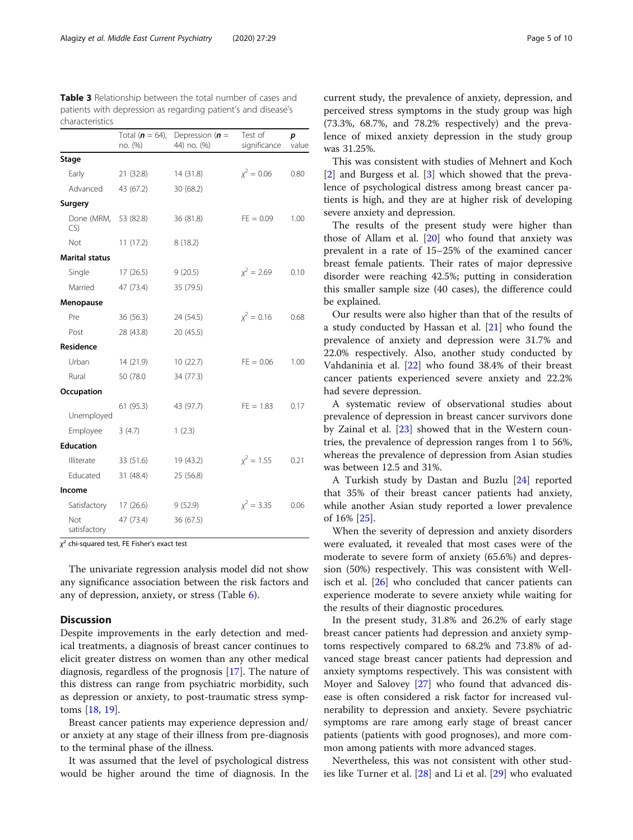<span id="page-4-0"></span>

| <b>Table 3</b> Relationship between the total number of cases and |
|-------------------------------------------------------------------|
| patients with depression as regarding patient's and disease's     |
| characteristics                                                   |

|                       | Total ( $n = 64$ ),<br>no. (%) | Depression ( $n =$<br>44) no. (%) | Test of<br>significance | p<br>value |
|-----------------------|--------------------------------|-----------------------------------|-------------------------|------------|
| Stage                 |                                |                                   |                         |            |
| Early                 | 21 (32.8)                      | 14 (31.8)                         | $\chi^2 = 0.06$         | 0.80       |
| Advanced              | 43 (67.2)                      | 30 (68.2)                         |                         |            |
| Surgery               |                                |                                   |                         |            |
| Done (MRM,<br>CS      | 53 (82.8)                      | 36 (81.8)                         | $FE = 0.09$             | 1.00       |
| Not                   | 11(17.2)                       | 8(18.2)                           |                         |            |
| <b>Marital status</b> |                                |                                   |                         |            |
| Single                | 17(26.5)                       | 9(20.5)                           | $x^2 = 2.69$            | 0.10       |
| Married               | 47 (73.4)                      | 35 (79.5)                         |                         |            |
| Menopause             |                                |                                   |                         |            |
| Pre                   | 36 (56.3)                      | 24 (54.5)                         | $x^2 = 0.16$            | 0.68       |
| Post                  | 28 (43.8)                      | 20 (45.5)                         |                         |            |
| Residence             |                                |                                   |                         |            |
| Urban                 | 14 (21.9)                      | 10(22.7)                          | $FE = 0.06$             | 1.00       |
| Rural                 | 50 (78.0                       | 34 (77.3)                         |                         |            |
| Occupation            |                                |                                   |                         |            |
| Unemployed            | 61 (95.3)                      | 43 (97.7)                         | $FE = 1.83$             | 0.17       |
| Employee              | 3(4.7)                         | 1(2.3)                            |                         |            |
| <b>Education</b>      |                                |                                   |                         |            |
| Illiterate            | 33 (51.6)                      | 19 (43.2)                         | $x^2 = 1.55$            | 0.21       |
| Educated              | 31 (48.4)                      | 25 (56.8)                         |                         |            |
| Income                |                                |                                   |                         |            |
| Satisfactory          | 17(26.6)                       | 9(52.9)                           | $x^2 = 3.35$            | 0.06       |
| Not<br>satisfactory   | 47 (73.4)                      | 36 (67.5)                         |                         |            |

 $\chi^2$  chi-squared test, FE Fisher's exact test

The univariate regression analysis model did not show any significance association between the risk factors and any of depression, anxiety, or stress (Table [6\)](#page-7-0).

#### **Discussion**

Despite improvements in the early detection and medical treatments, a diagnosis of breast cancer continues to elicit greater distress on women than any other medical diagnosis, regardless of the prognosis [[17](#page-8-0)]. The nature of this distress can range from psychiatric morbidity, such as depression or anxiety, to post-traumatic stress symptoms [\[18,](#page-8-0) [19\]](#page-8-0).

Breast cancer patients may experience depression and/ or anxiety at any stage of their illness from pre-diagnosis to the terminal phase of the illness.

It was assumed that the level of psychological distress would be higher around the time of diagnosis. In the current study, the prevalence of anxiety, depression, and perceived stress symptoms in the study group was high (73.3%, 68.7%, and 78.2% respectively) and the prevalence of mixed anxiety depression in the study group was 31.25%.

This was consistent with studies of Mehnert and Koch [[2\]](#page-8-0) and Burgess et al. [\[3](#page-8-0)] which showed that the prevalence of psychological distress among breast cancer patients is high, and they are at higher risk of developing severe anxiety and depression.

The results of the present study were higher than those of Allam et al. [[20](#page-8-0)] who found that anxiety was prevalent in a rate of 15–25% of the examined cancer breast female patients. Their rates of major depressive disorder were reaching 42.5%; putting in consideration this smaller sample size (40 cases), the difference could be explained.

Our results were also higher than that of the results of a study conducted by Hassan et al. [[21\]](#page-8-0) who found the prevalence of anxiety and depression were 31.7% and 22.0% respectively. Also, another study conducted by Vahdaninia et al. [[22\]](#page-8-0) who found 38.4% of their breast cancer patients experienced severe anxiety and 22.2% had severe depression.

A systematic review of observational studies about prevalence of depression in breast cancer survivors done by Zainal et al. [\[23](#page-8-0)] showed that in the Western countries, the prevalence of depression ranges from 1 to 56%, whereas the prevalence of depression from Asian studies was between 12.5 and 31%.

A Turkish study by Dastan and Buzlu [\[24\]](#page-8-0) reported that 35% of their breast cancer patients had anxiety, while another Asian study reported a lower prevalence of 16% [\[25](#page-8-0)].

When the severity of depression and anxiety disorders were evaluated, it revealed that most cases were of the moderate to severe form of anxiety (65.6%) and depression (50%) respectively. This was consistent with Wellisch et al. [[26\]](#page-8-0) who concluded that cancer patients can experience moderate to severe anxiety while waiting for the results of their diagnostic procedures.

In the present study, 31.8% and 26.2% of early stage breast cancer patients had depression and anxiety symptoms respectively compared to 68.2% and 73.8% of advanced stage breast cancer patients had depression and anxiety symptoms respectively. This was consistent with Moyer and Salovey [\[27](#page-8-0)] who found that advanced disease is often considered a risk factor for increased vulnerability to depression and anxiety. Severe psychiatric symptoms are rare among early stage of breast cancer patients (patients with good prognoses), and more common among patients with more advanced stages.

Nevertheless, this was not consistent with other studies like Turner et al. [\[28](#page-8-0)] and Li et al. [\[29\]](#page-8-0) who evaluated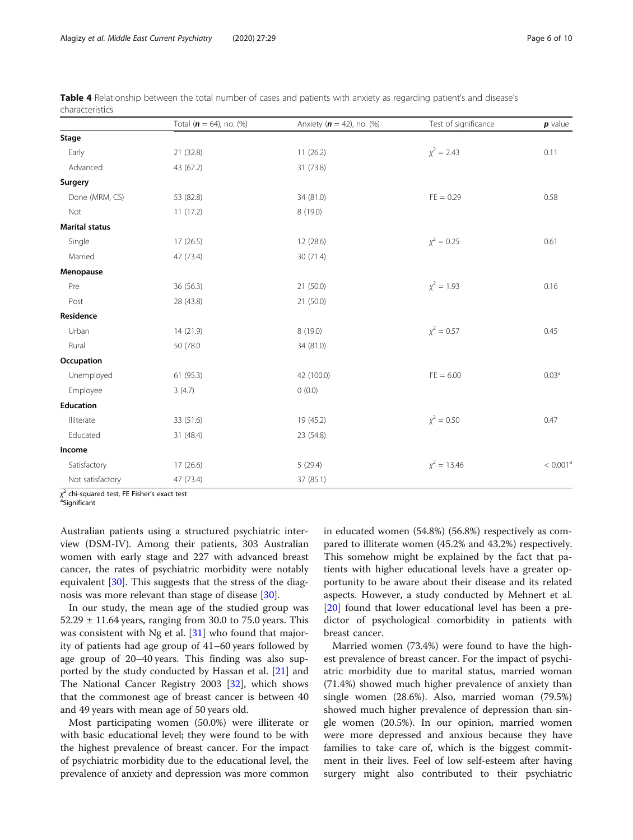|                       | Total $(n = 64)$ , no. $(\%)$ | Anxiety ( $n = 42$ ), no. (%) | Test of significance | $p$ value            |
|-----------------------|-------------------------------|-------------------------------|----------------------|----------------------|
| Stage                 |                               |                               |                      |                      |
| Early                 | 21 (32.8)                     | 11(26.2)                      | $\chi^2 = 2.43$      | 0.11                 |
| Advanced              | 43 (67.2)                     | 31 (73.8)                     |                      |                      |
| Surgery               |                               |                               |                      |                      |
| Done (MRM, CS)        | 53 (82.8)                     | 34 (81.0)                     | $FE = 0.29$          | 0.58                 |
| Not                   | 11(17.2)                      | 8 (19.0)                      |                      |                      |
| <b>Marital status</b> |                               |                               |                      |                      |
| Single                | 17(26.5)                      | 12 (28.6)                     | $\chi^2 = 0.25$      | 0.61                 |
| Married               | 47 (73.4)                     | 30 (71.4)                     |                      |                      |
| Menopause             |                               |                               |                      |                      |
| Pre                   | 36 (56.3)                     | 21 (50.0)                     | $x^2 = 1.93$         | 0.16                 |
| Post                  | 28 (43.8)                     | 21 (50.0)                     |                      |                      |
| Residence             |                               |                               |                      |                      |
| Urban                 | 14 (21.9)                     | 8(19.0)                       | $\chi^2 = 0.57$      | 0.45                 |
| Rural                 | 50 (78.0)                     | 34 (81.0)                     |                      |                      |
| Occupation            |                               |                               |                      |                      |
| Unemployed            | 61 (95.3)                     | 42 (100.0)                    | $FE = 6.00$          | 0.03 <sup>a</sup>    |
| Employee              | 3(4.7)                        | 0(0.0)                        |                      |                      |
| <b>Education</b>      |                               |                               |                      |                      |
| Illiterate            | 33 (51.6)                     | 19 (45.2)                     | $\chi^2 = 0.50$      | 0.47                 |
| Educated              | 31 (48.4)                     | 23 (54.8)                     |                      |                      |
| Income                |                               |                               |                      |                      |
| Satisfactory          | 17(26.6)                      | 5(29.4)                       | $x^2 = 13.46$        | < 0.001 <sup>a</sup> |
| Not satisfactory      | 47 (73.4)                     | 37 (85.1)                     |                      |                      |

<span id="page-5-0"></span>Table 4 Relationship between the total number of cases and patients with anxiety as regarding patient's and disease's characteristics

χ<sup>2</sup> chi-squared test, FE Fisher's exact test<br>ªSignificant

<sup>a</sup>Sianificant

Australian patients using a structured psychiatric interview (DSM-IV). Among their patients, 303 Australian women with early stage and 227 with advanced breast cancer, the rates of psychiatric morbidity were notably equivalent [[30\]](#page-9-0). This suggests that the stress of the diagnosis was more relevant than stage of disease [\[30](#page-9-0)].

In our study, the mean age of the studied group was  $52.29 \pm 11.64$  years, ranging from 30.0 to 75.0 years. This was consistent with Ng et al. [[31\]](#page-9-0) who found that majority of patients had age group of 41–60 years followed by age group of 20–40 years. This finding was also supported by the study conducted by Hassan et al. [\[21](#page-8-0)] and The National Cancer Registry 2003 [[32](#page-9-0)], which shows that the commonest age of breast cancer is between 40 and 49 years with mean age of 50 years old.

Most participating women (50.0%) were illiterate or with basic educational level; they were found to be with the highest prevalence of breast cancer. For the impact of psychiatric morbidity due to the educational level, the prevalence of anxiety and depression was more common in educated women (54.8%) (56.8%) respectively as compared to illiterate women (45.2% and 43.2%) respectively. This somehow might be explained by the fact that patients with higher educational levels have a greater opportunity to be aware about their disease and its related aspects. However, a study conducted by Mehnert et al. [[20\]](#page-8-0) found that lower educational level has been a predictor of psychological comorbidity in patients with breast cancer.

Married women (73.4%) were found to have the highest prevalence of breast cancer. For the impact of psychiatric morbidity due to marital status, married woman (71.4%) showed much higher prevalence of anxiety than single women (28.6%). Also, married woman (79.5%) showed much higher prevalence of depression than single women (20.5%). In our opinion, married women were more depressed and anxious because they have families to take care of, which is the biggest commitment in their lives. Feel of low self-esteem after having surgery might also contributed to their psychiatric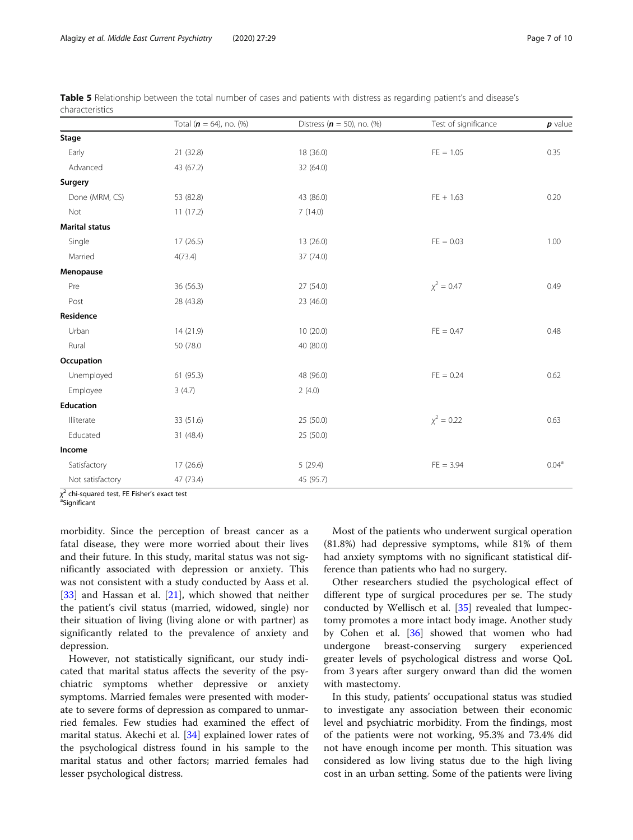|                       | Total $(n = 64)$ , no. $(\%)$ | Distress $(n = 50)$ , no. (%) | Test of significance | $p$ value         |
|-----------------------|-------------------------------|-------------------------------|----------------------|-------------------|
| Stage                 |                               |                               |                      |                   |
| Early                 | 21 (32.8)                     | 18 (36.0)                     | $FE = 1.05$          | 0.35              |
| Advanced              | 43 (67.2)                     | 32 (64.0)                     |                      |                   |
| Surgery               |                               |                               |                      |                   |
| Done (MRM, CS)        | 53 (82.8)                     | 43 (86.0)                     | $FE + 1.63$          | 0.20              |
| Not                   | 11(17.2)                      | 7(14.0)                       |                      |                   |
| <b>Marital status</b> |                               |                               |                      |                   |
| Single                | 17(26.5)                      | 13 (26.0)                     | $FE = 0.03$          | 1.00              |
| Married               | 4(73.4)                       | 37 (74.0)                     |                      |                   |
| Menopause             |                               |                               |                      |                   |
| Pre                   | 36 (56.3)                     | 27 (54.0)                     | $\chi^2 = 0.47$      | 0.49              |
| Post                  | 28 (43.8)                     | 23 (46.0)                     |                      |                   |
| Residence             |                               |                               |                      |                   |
| Urban                 | 14 (21.9)                     | 10(20.0)                      | $FE = 0.47$          | 0.48              |
| Rural                 | 50 (78.0                      | 40 (80.0)                     |                      |                   |
| Occupation            |                               |                               |                      |                   |
| Unemployed            | 61(95.3)                      | 48 (96.0)                     | $FE = 0.24$          | 0.62              |
| Employee              | 3(4.7)                        | 2(4.0)                        |                      |                   |
| Education             |                               |                               |                      |                   |
| Illiterate            | 33 (51.6)                     | 25 (50.0)                     | $\chi^2 = 0.22$      | 0.63              |
| Educated              | 31 (48.4)                     | 25 (50.0)                     |                      |                   |
| Income                |                               |                               |                      |                   |
| Satisfactory          | 17 (26.6)                     | 5(29.4)                       | $FE = 3.94$          | 0.04 <sup>a</sup> |
| Not satisfactory      | 47 (73.4)                     | 45 (95.7)                     |                      |                   |

<span id="page-6-0"></span>Table 5 Relationship between the total number of cases and patients with distress as regarding patient's and disease's characteristics

χ<sup>2</sup> chi-squared test, FE Fisher's exact test<br>ªSignificant

<sup>a</sup>Significant

morbidity. Since the perception of breast cancer as a fatal disease, they were more worried about their lives and their future. In this study, marital status was not significantly associated with depression or anxiety. This was not consistent with a study conducted by Aass et al. [[33\]](#page-9-0) and Hassan et al. [\[21](#page-8-0)], which showed that neither the patient's civil status (married, widowed, single) nor their situation of living (living alone or with partner) as significantly related to the prevalence of anxiety and depression.

However, not statistically significant, our study indicated that marital status affects the severity of the psychiatric symptoms whether depressive or anxiety symptoms. Married females were presented with moderate to severe forms of depression as compared to unmarried females. Few studies had examined the effect of marital status. Akechi et al. [[34\]](#page-9-0) explained lower rates of the psychological distress found in his sample to the marital status and other factors; married females had lesser psychological distress.

Most of the patients who underwent surgical operation (81.8%) had depressive symptoms, while 81% of them had anxiety symptoms with no significant statistical difference than patients who had no surgery.

Other researchers studied the psychological effect of different type of surgical procedures per se. The study conducted by Wellisch et al. [\[35\]](#page-9-0) revealed that lumpectomy promotes a more intact body image. Another study by Cohen et al. [[36\]](#page-9-0) showed that women who had undergone breast-conserving surgery experienced greater levels of psychological distress and worse QoL from 3 years after surgery onward than did the women with mastectomy.

In this study, patients' occupational status was studied to investigate any association between their economic level and psychiatric morbidity. From the findings, most of the patients were not working, 95.3% and 73.4% did not have enough income per month. This situation was considered as low living status due to the high living cost in an urban setting. Some of the patients were living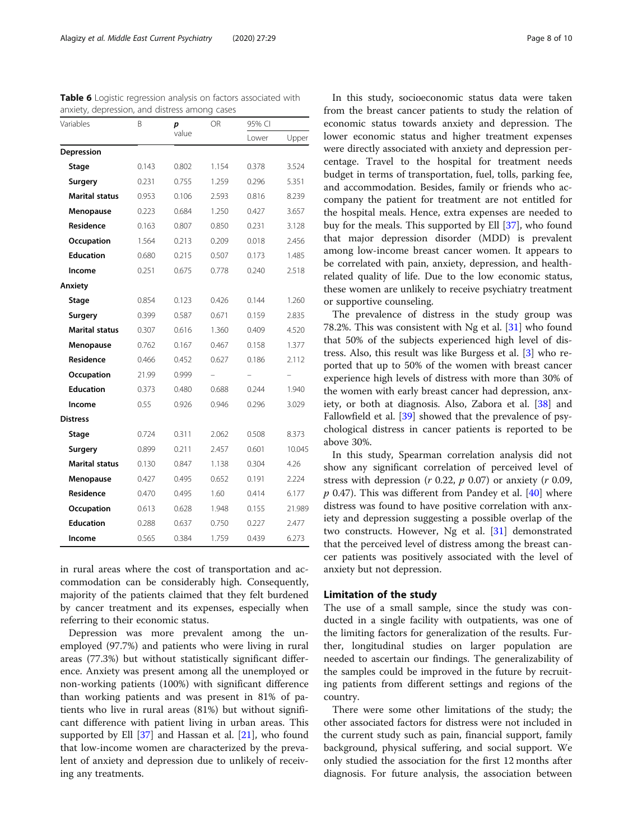| Variables             | B<br>p<br>value | OR    | 95% CI |       |        |
|-----------------------|-----------------|-------|--------|-------|--------|
|                       |                 |       |        | Lower | Upper  |
| Depression            |                 |       |        |       |        |
| Stage                 | 0.143           | 0.802 | 1.154  | 0.378 | 3.524  |
| Surgery               | 0.231           | 0.755 | 1.259  | 0.296 | 5.351  |
| <b>Marital status</b> | 0.953           | 0.106 | 2.593  | 0.816 | 8.239  |
| Menopause             | 0.223           | 0.684 | 1.250  | 0.427 | 3.657  |
| Residence             | 0.163           | 0.807 | 0.850  | 0.231 | 3.128  |
| Occupation            | 1.564           | 0.213 | 0.209  | 0.018 | 2.456  |
| <b>Education</b>      | 0.680           | 0.215 | 0.507  | 0.173 | 1.485  |
| Income                | 0.251           | 0.675 | 0.778  | 0.240 | 2.518  |
| Anxiety               |                 |       |        |       |        |
| Stage                 | 0.854           | 0.123 | 0.426  | 0.144 | 1.260  |
| Surgery               | 0.399           | 0.587 | 0.671  | 0.159 | 2.835  |
| <b>Marital status</b> | 0.307           | 0.616 | 1.360  | 0.409 | 4.520  |
| Menopause             | 0.762           | 0.167 | 0.467  | 0.158 | 1.377  |
| Residence             | 0.466           | 0.452 | 0.627  | 0.186 | 2.112  |
| Occupation            | 21.99           | 0.999 |        |       |        |
| <b>Education</b>      | 0.373           | 0.480 | 0.688  | 0.244 | 1.940  |
| Income                | 0.55            | 0.926 | 0.946  | 0.296 | 3.029  |
| <b>Distress</b>       |                 |       |        |       |        |
| Stage                 | 0.724           | 0.311 | 2.062  | 0.508 | 8.373  |
| Surgery               | 0.899           | 0.211 | 2.457  | 0.601 | 10.045 |
| <b>Marital status</b> | 0.130           | 0.847 | 1.138  | 0.304 | 4.26   |
| Menopause             | 0.427           | 0.495 | 0.652  | 0.191 | 2.224  |
| Residence             | 0.470           | 0.495 | 1.60   | 0.414 | 6.177  |
| Occupation            | 0.613           | 0.628 | 1.948  | 0.155 | 21.989 |
| <b>Education</b>      | 0.288           | 0.637 | 0.750  | 0.227 | 2.477  |
| Income                | 0.565           | 0.384 | 1.759  | 0.439 | 6.273  |

<span id="page-7-0"></span>Table 6 Logistic regression analysis on factors associated with anxiety, depression, and distress among cases

in rural areas where the cost of transportation and accommodation can be considerably high. Consequently, majority of the patients claimed that they felt burdened by cancer treatment and its expenses, especially when referring to their economic status.

Depression was more prevalent among the unemployed (97.7%) and patients who were living in rural areas (77.3%) but without statistically significant difference. Anxiety was present among all the unemployed or non-working patients (100%) with significant difference than working patients and was present in 81% of patients who live in rural areas (81%) but without significant difference with patient living in urban areas. This supported by Ell [[37\]](#page-9-0) and Hassan et al. [[21\]](#page-8-0), who found that low-income women are characterized by the prevalent of anxiety and depression due to unlikely of receiving any treatments.

In this study, socioeconomic status data were taken from the breast cancer patients to study the relation of economic status towards anxiety and depression. The lower economic status and higher treatment expenses were directly associated with anxiety and depression percentage. Travel to the hospital for treatment needs budget in terms of transportation, fuel, tolls, parking fee, and accommodation. Besides, family or friends who accompany the patient for treatment are not entitled for the hospital meals. Hence, extra expenses are needed to buy for the meals. This supported by Ell [\[37](#page-9-0)], who found that major depression disorder (MDD) is prevalent among low-income breast cancer women. It appears to be correlated with pain, anxiety, depression, and healthrelated quality of life. Due to the low economic status, these women are unlikely to receive psychiatry treatment or supportive counseling.

The prevalence of distress in the study group was 78.2%. This was consistent with Ng et al. [\[31](#page-9-0)] who found that 50% of the subjects experienced high level of distress. Also, this result was like Burgess et al. [[3\]](#page-8-0) who reported that up to 50% of the women with breast cancer experience high levels of distress with more than 30% of the women with early breast cancer had depression, anxiety, or both at diagnosis. Also, Zabora et al. [\[38\]](#page-9-0) and Fallowfield et al. [\[39](#page-9-0)] showed that the prevalence of psychological distress in cancer patients is reported to be above 30%.

In this study, Spearman correlation analysis did not show any significant correlation of perceived level of stress with depression ( $r$  0.22,  $p$  0.07) or anxiety ( $r$  0.09,  $p$  0.47). This was different from Pandey et al. [[40\]](#page-9-0) where distress was found to have positive correlation with anxiety and depression suggesting a possible overlap of the two constructs. However, Ng et al. [\[31](#page-9-0)] demonstrated that the perceived level of distress among the breast cancer patients was positively associated with the level of anxiety but not depression.

## Limitation of the study

The use of a small sample, since the study was conducted in a single facility with outpatients, was one of the limiting factors for generalization of the results. Further, longitudinal studies on larger population are needed to ascertain our findings. The generalizability of the samples could be improved in the future by recruiting patients from different settings and regions of the country.

There were some other limitations of the study; the other associated factors for distress were not included in the current study such as pain, financial support, family background, physical suffering, and social support. We only studied the association for the first 12 months after diagnosis. For future analysis, the association between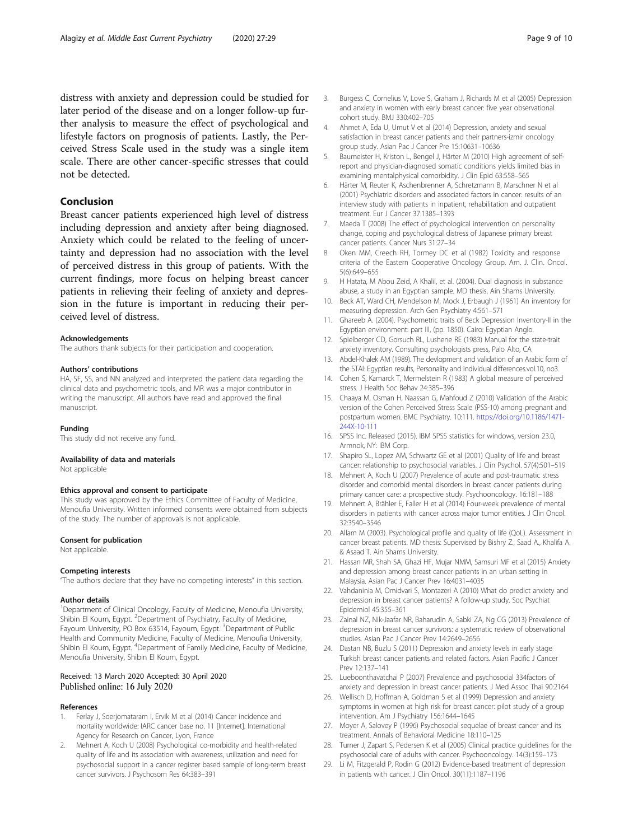<span id="page-8-0"></span>distress with anxiety and depression could be studied for later period of the disease and on a longer follow-up further analysis to measure the effect of psychological and lifestyle factors on prognosis of patients. Lastly, the Perceived Stress Scale used in the study was a single item scale. There are other cancer-specific stresses that could not be detected.

# Conclusion

Breast cancer patients experienced high level of distress including depression and anxiety after being diagnosed. Anxiety which could be related to the feeling of uncertainty and depression had no association with the level of perceived distress in this group of patients. With the current findings, more focus on helping breast cancer patients in relieving their feeling of anxiety and depression in the future is important in reducing their perceived level of distress.

#### Acknowledgements

The authors thank subjects for their participation and cooperation.

#### Authors' contributions

HA, SF, SS, and NN analyzed and interpreted the patient data regarding the clinical data and psychometric tools, and MR was a major contributor in writing the manuscript. All authors have read and approved the final manuscript.

#### Funding

This study did not receive any fund.

#### Availability of data and materials

Not applicable

#### Ethics approval and consent to participate

This study was approved by the Ethics Committee of Faculty of Medicine, Menoufia University. Written informed consents were obtained from subjects of the study. The number of approvals is not applicable.

#### Consent for publication

Not applicable.

#### Competing interests

"The authors declare that they have no competing interests" in this section.

#### Author details

<sup>1</sup>Department of Clinical Oncology, Faculty of Medicine, Menoufia University, Shibin El Koum, Egypt. <sup>2</sup>Department of Psychiatry, Faculty of Medicine, Fayoum University, PO Box 63514, Fayoum, Egypt. <sup>3</sup>Department of Public Health and Community Medicine, Faculty of Medicine, Menoufia University, Shibin El Koum, Egypt. <sup>4</sup>Department of Family Medicine, Faculty of Medicine, Menoufia University, Shibin El Koum, Egypt.

#### Received: 13 March 2020 Accepted: 30 April 2020 Published online: 16 July 2020

#### References

- 1. Ferlay J, Soerjomataram I, Ervik M et al (2014) Cancer incidence and mortality worldwide: IARC cancer base no. 11 [Internet]. International Agency for Research on Cancer, Lyon, France
- 2. Mehnert A, Koch U (2008) Psychological co-morbidity and health-related quality of life and its association with awareness, utilization and need for psychosocial support in a cancer register based sample of long-term breast cancer survivors. J Psychosom Res 64:383–391
- 3. Burgess C, Cornelius V, Love S, Graham J, Richards M et al (2005) Depression and anxiety in women with early breast cancer: five year observational cohort study. BMJ 330:402–705
- 4. Ahmet A, Eda U, Umut V et al (2014) Depression, anxiety and sexual satisfaction in breast cancer patients and their partners-izmir oncology group study. Asian Pac J Cancer Pre 15:10631–10636
- 5. Baumeister H, Kriston L, Bengel J, Härter M (2010) High agreement of selfreport and physician-diagnosed somatic conditions yields limited bias in examining mentalphysical comorbidity. J Clin Epid 63:558–565
- 6. Härter M, Reuter K, Aschenbrenner A, Schretzmann B, Marschner N et al (2001) Psychiatric disorders and associated factors in cancer: results of an interview study with patients in inpatient, rehabilitation and outpatient treatment. Eur J Cancer 37:1385–1393
- 7. Maeda T (2008) The effect of psychological intervention on personality change, coping and psychological distress of Japanese primary breast cancer patients. Cancer Nurs 31:27–34
- 8. Oken MM, Creech RH, Tormey DC et al (1982) Toxicity and response criteria of the Eastern Cooperative Oncology Group. Am. J. Clin. Oncol. 5(6):649–655
- 9. H Hatata, M Abou Zeid, A Khalil, et al. (2004). Dual diagnosis in substance abuse, a study in an Egyptian sample. MD thesis, Ain Shams University.
- 10. Beck AT, Ward CH, Mendelson M, Mock J, Erbaugh J (1961) An inventory for measuring depression. Arch Gen Psychiatry 4:561–571
- 11. Ghareeb A. (2004). Psychometric traits of Beck Depression Inventory-II in the Egyptian environment: part III, (pp. 1850). Cairo: Egyptian Anglo.
- 12. Spielberger CD, Gorsuch RL, Lushene RE (1983) Manual for the state-trait anxiety inventory. Consulting psychologists press, Palo Alto, CA
- 13. Abdel-Khalek AM (1989). The devlopment and validation of an Arabic form of the STAI: Egyptian results, Personality and individual differences.vol.10, no3.
- 14. Cohen S, Kamarck T, Mermelstein R (1983) A global measure of perceived stress. J Health Soc Behav 24:385–396
- 15. Chaaya M, Osman H, Naassan G, Mahfoud Z (2010) Validation of the Arabic version of the Cohen Perceived Stress Scale (PSS-10) among pregnant and postpartum women. BMC Psychiatry. 10:111. [https://doi.org/10.1186/1471-](https://doi.org/10.1186/1471-244X-10-111) [244X-10-111](https://doi.org/10.1186/1471-244X-10-111)
- 16. SPSS Inc. Released (2015). IBM SPSS statistics for windows, version 23.0, Armnok, NY: IBM Corp.
- 17. Shapiro SL, Lopez AM, Schwartz GE et al (2001) Quality of life and breast cancer: relationship to psychosocial variables. J Clin Psychol. 57(4):501–519
- 18. Mehnert A, Koch U (2007) Prevalence of acute and post-traumatic stress disorder and comorbid mental disorders in breast cancer patients during primary cancer care: a prospective study. Psychooncology. 16:181–188
- 19. Mehnert A, Brähler E, Faller H et al (2014) Four-week prevalence of mental disorders in patients with cancer across major tumor entities. J Clin Oncol. 32:3540–3546
- 20. Allam M (2003). Psychological profile and quality of life (QoL). Assessment in cancer breast patients. MD thesis: Supervised by Bishry Z., Saad A., Khalifa A. & Asaad T. Ain Shams University.
- 21. Hassan MR, Shah SA, Ghazi HF, Mujar NMM, Samsuri MF et al (2015) Anxiety and depression among breast cancer patients in an urban setting in Malaysia. Asian Pac J Cancer Prev 16:4031–4035
- 22. Vahdaninia M, Omidvari S, Montazeri A (2010) What do predict anxiety and depression in breast cancer patients? A follow-up study. Soc Psychiat Epidemiol 45:355–361
- 23. Zainal NZ, Nik-Jaafar NR, Baharudin A, Sabki ZA, Ng CG (2013) Prevalence of depression in breast cancer survivors: a systematic review of observational studies. Asian Pac J Cancer Prev 14:2649–2656
- 24. Dastan NB, Buzlu S (2011) Depression and anxiety levels in early stage Turkish breast cancer patients and related factors. Asian Pacific J Cancer Prev 12:137–141
- 25. Lueboonthavatchai P (2007) Prevalence and psychosocial 334factors of anxiety and depression in breast cancer patients. J Med Assoc Thai 90:2164
- 26. Wellisch D, Hoffman A, Goldman S et al (1999) Depression and anxiety symptoms in women at high risk for breast cancer: pilot study of a group intervention. Am J Psychiatry 156:1644–1645
- 27. Moyer A, Salovey P (1996) Psychosocial sequelae of breast cancer and its treatment. Annals of Behavioral Medicine 18:110–125
- Turner J, Zapart S, Pedersen K et al (2005) Clinical practice guidelines for the psychosocial care of adults with cancer. Psychooncology. 14(3):159–173
- 29. Li M, Fitzgerald P, Rodin G (2012) Evidence-based treatment of depression in patients with cancer. J Clin Oncol. 30(11):1187–1196